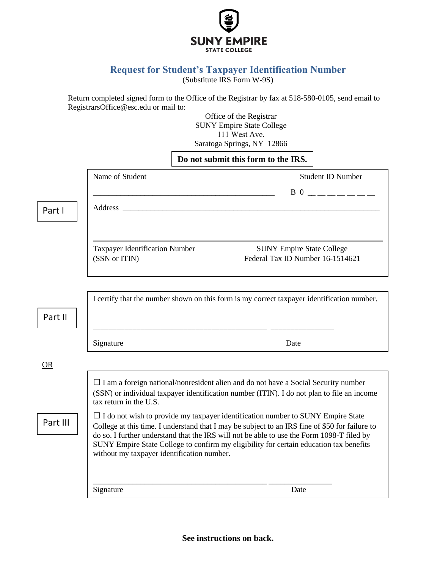

# **Request for Student's Taxpayer Identification Number**

(Substitute IRS Form W-9S)

Return completed signed form to the Office of the Registrar by fax at 518-580-0105, send email to RegistrarsOffice@esc.edu or mail to:

Office of the Registrar SUNY Empire State College 111 West Ave. Saratoga Springs, NY 12866

|          |                                                                                                                                                                                                                                                                                                                                                                                                                                                                                                                                                                                                                                                    | Do not submit this form to the IRS.                                                                                                                                                                                            |                                                                      |                          |
|----------|----------------------------------------------------------------------------------------------------------------------------------------------------------------------------------------------------------------------------------------------------------------------------------------------------------------------------------------------------------------------------------------------------------------------------------------------------------------------------------------------------------------------------------------------------------------------------------------------------------------------------------------------------|--------------------------------------------------------------------------------------------------------------------------------------------------------------------------------------------------------------------------------|----------------------------------------------------------------------|--------------------------|
|          | Name of Student                                                                                                                                                                                                                                                                                                                                                                                                                                                                                                                                                                                                                                    |                                                                                                                                                                                                                                |                                                                      | <b>Student ID Number</b> |
|          |                                                                                                                                                                                                                                                                                                                                                                                                                                                                                                                                                                                                                                                    |                                                                                                                                                                                                                                |                                                                      | $B_0$ $     -$           |
| Part I   |                                                                                                                                                                                                                                                                                                                                                                                                                                                                                                                                                                                                                                                    | Address and the contract of the contract of the contract of the contract of the contract of the contract of the contract of the contract of the contract of the contract of the contract of the contract of the contract of th |                                                                      |                          |
|          |                                                                                                                                                                                                                                                                                                                                                                                                                                                                                                                                                                                                                                                    |                                                                                                                                                                                                                                |                                                                      |                          |
|          | <b>Taxpayer Identification Number</b><br>(SSN or ITIN)                                                                                                                                                                                                                                                                                                                                                                                                                                                                                                                                                                                             |                                                                                                                                                                                                                                | <b>SUNY Empire State College</b><br>Federal Tax ID Number 16-1514621 |                          |
|          |                                                                                                                                                                                                                                                                                                                                                                                                                                                                                                                                                                                                                                                    |                                                                                                                                                                                                                                |                                                                      |                          |
|          | I certify that the number shown on this form is my correct taxpayer identification number.                                                                                                                                                                                                                                                                                                                                                                                                                                                                                                                                                         |                                                                                                                                                                                                                                |                                                                      |                          |
| Part II  |                                                                                                                                                                                                                                                                                                                                                                                                                                                                                                                                                                                                                                                    |                                                                                                                                                                                                                                |                                                                      |                          |
|          | Signature                                                                                                                                                                                                                                                                                                                                                                                                                                                                                                                                                                                                                                          |                                                                                                                                                                                                                                | Date                                                                 |                          |
| OR       |                                                                                                                                                                                                                                                                                                                                                                                                                                                                                                                                                                                                                                                    |                                                                                                                                                                                                                                |                                                                      |                          |
|          | $\Box$ I am a foreign national/nonresident alien and do not have a Social Security number<br>(SSN) or individual taxpayer identification number (ITIN). I do not plan to file an income<br>tax return in the U.S.<br>$\Box$ I do not wish to provide my taxpayer identification number to SUNY Empire State<br>College at this time. I understand that I may be subject to an IRS fine of \$50 for failure to<br>do so. I further understand that the IRS will not be able to use the Form 1098-T filed by<br>SUNY Empire State College to confirm my eligibility for certain education tax benefits<br>without my taxpayer identification number. |                                                                                                                                                                                                                                |                                                                      |                          |
| Part III |                                                                                                                                                                                                                                                                                                                                                                                                                                                                                                                                                                                                                                                    |                                                                                                                                                                                                                                |                                                                      |                          |

**See instructions on back.**

\_\_\_\_\_\_\_\_\_\_\_\_\_\_\_\_\_\_\_\_\_\_\_\_\_\_\_\_\_\_\_\_\_\_\_\_\_\_\_\_\_\_\_\_ \_\_\_\_\_\_\_\_\_\_\_\_\_\_\_\_

Signature Date